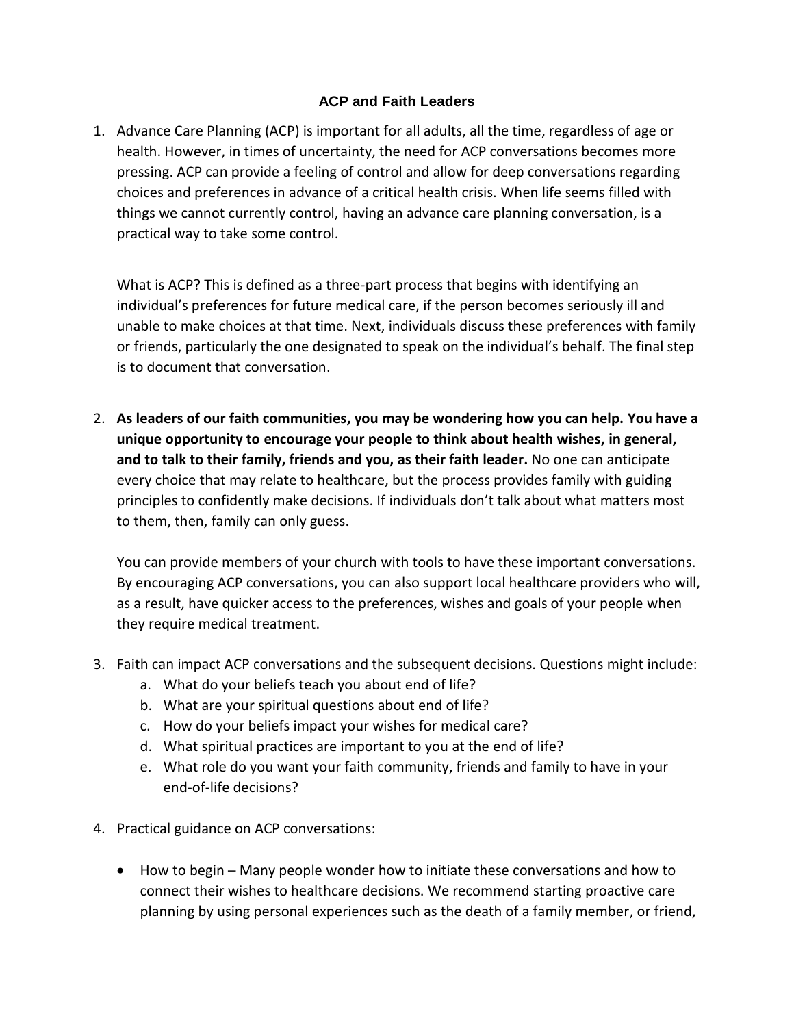## **ACP and Faith Leaders**

1. Advance Care Planning (ACP) is important for all adults, all the time, regardless of age or health. However, in times of uncertainty, the need for ACP conversations becomes more pressing. ACP can provide a feeling of control and allow for deep conversations regarding choices and preferences in advance of a critical health crisis. When life seems filled with things we cannot currently control, having an advance care planning conversation, is a practical way to take some control.

What is ACP? This is defined as a three-part process that begins with identifying an individual's preferences for future medical care, if the person becomes seriously ill and unable to make choices at that time. Next, individuals discuss these preferences with family or friends, particularly the one designated to speak on the individual's behalf. The final step is to document that conversation.

2. **As leaders of our faith communities, you may be wondering how you can help. You have a unique opportunity to encourage your people to think about health wishes, in general, and to talk to their family, friends and you, as their faith leader.** No one can anticipate every choice that may relate to healthcare, but the process provides family with guiding principles to confidently make decisions. If individuals don't talk about what matters most to them, then, family can only guess.

You can provide members of your church with tools to have these important conversations. By encouraging ACP conversations, you can also support local healthcare providers who will, as a result, have quicker access to the preferences, wishes and goals of your people when they require medical treatment.

- 3. Faith can impact ACP conversations and the subsequent decisions. Questions might include:
	- a. What do your beliefs teach you about end of life?
	- b. What are your spiritual questions about end of life?
	- c. How do your beliefs impact your wishes for medical care?
	- d. What spiritual practices are important to you at the end of life?
	- e. What role do you want your faith community, friends and family to have in your end-of-life decisions?
- 4. Practical guidance on ACP conversations:
	- How to begin Many people wonder how to initiate these conversations and how to connect their wishes to healthcare decisions. We recommend starting proactive care planning by using personal experiences such as the death of a family member, or friend,